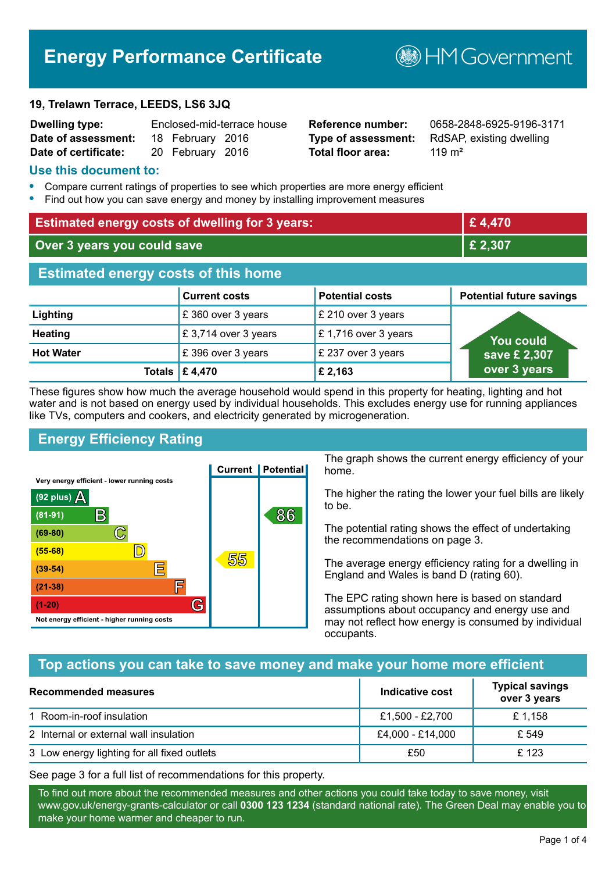# **Energy Performance Certificate**

#### **19, Trelawn Terrace, LEEDS, LS6 3JQ**

| <b>Dwelling type:</b>                |                  | Enclosed-mid-terrace house |
|--------------------------------------|------------------|----------------------------|
| Date of assessment: 18 February 2016 |                  |                            |
| Date of certificate:                 | 20 February 2016 |                            |

# **Total floor area:** 2019 m<sup>2</sup>

**Reference number:** 0658-2848-6925-9196-3171 **Type of assessment:** RdSAP, existing dwelling

**MGovernment** 

#### **Use this document to:**

- **•** Compare current ratings of properties to see which properties are more energy efficient
- **•** Find out how you can save energy and money by installing improvement measures

| <b>Estimated energy costs of dwelling for 3 years:</b> |                                 |                        | £4,470                          |
|--------------------------------------------------------|---------------------------------|------------------------|---------------------------------|
| Over 3 years you could save                            |                                 |                        | £ 2,307                         |
| <b>Estimated energy costs of this home</b>             |                                 |                        |                                 |
|                                                        | <b>Current costs</b>            | <b>Potential costs</b> | <b>Potential future savings</b> |
| Lighting                                               | £360 over 3 years               | £ 210 over 3 years     |                                 |
| <b>Heating</b>                                         | £3,714 over 3 years             | £1,716 over 3 years    | You could                       |
| <b>Hot Water</b>                                       | £396 over 3 years               | £ 237 over 3 years     | save £ 2,307                    |
|                                                        | Totals $\mathbf \epsilon$ 4,470 | £ 2,163                | over 3 years                    |

These figures show how much the average household would spend in this property for heating, lighting and hot water and is not based on energy used by individual households. This excludes energy use for running appliances like TVs, computers and cookers, and electricity generated by microgeneration.

# **Energy Efficiency Rating**



The graph shows the current energy efficiency of your home.

The higher the rating the lower your fuel bills are likely to be.

The potential rating shows the effect of undertaking the recommendations on page 3.

The average energy efficiency rating for a dwelling in England and Wales is band D (rating 60).

The EPC rating shown here is based on standard assumptions about occupancy and energy use and may not reflect how energy is consumed by individual occupants.

# **Top actions you can take to save money and make your home more efficient**

| <b>Recommended measures</b>                 | Indicative cost  | <b>Typical savings</b><br>over 3 years |
|---------------------------------------------|------------------|----------------------------------------|
| 1 Room-in-roof insulation                   | £1,500 - £2,700  | £ 1,158                                |
| 2 Internal or external wall insulation      | £4,000 - £14,000 | £ 549                                  |
| 3 Low energy lighting for all fixed outlets | £50              | £123                                   |

See page 3 for a full list of recommendations for this property.

To find out more about the recommended measures and other actions you could take today to save money, visit www.gov.uk/energy-grants-calculator or call **0300 123 1234** (standard national rate). The Green Deal may enable you to make your home warmer and cheaper to run.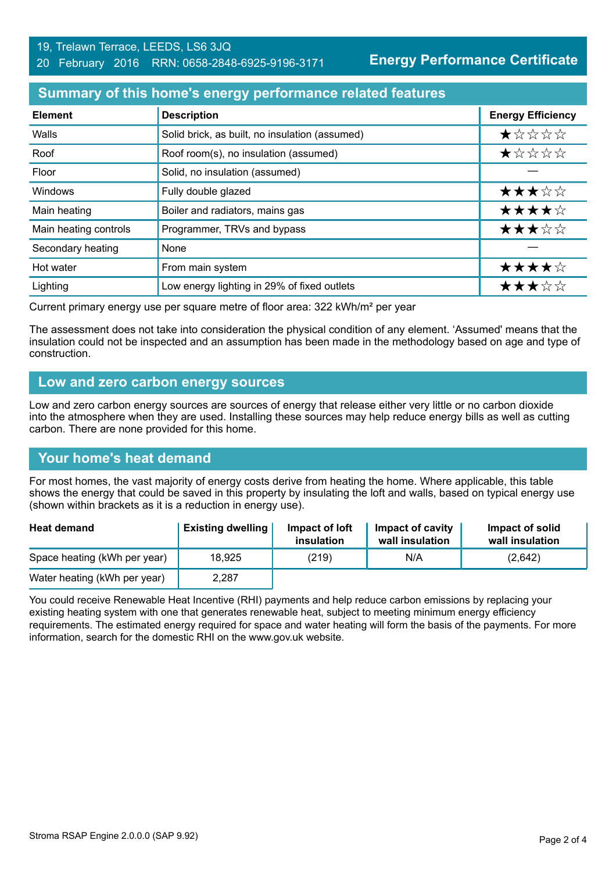#### **Summary of this home's energy performance related features**

| <b>Element</b>        | <b>Description</b>                             | <b>Energy Efficiency</b> |
|-----------------------|------------------------------------------------|--------------------------|
| Walls                 | Solid brick, as built, no insulation (assumed) | $\star$ * * * *          |
| Roof                  | Roof room(s), no insulation (assumed)          | *****                    |
| Floor                 | Solid, no insulation (assumed)                 |                          |
| Windows               | Fully double glazed                            | ★★★☆☆                    |
| Main heating          | Boiler and radiators, mains gas                | ★★★★☆                    |
| Main heating controls | Programmer, TRVs and bypass                    | ★★★☆☆                    |
| Secondary heating     | None                                           |                          |
| Hot water             | From main system                               | ★★★★☆                    |
| Lighting              | Low energy lighting in 29% of fixed outlets    | ★★★☆☆                    |

Current primary energy use per square metre of floor area: 322 kWh/m² per year

The assessment does not take into consideration the physical condition of any element. 'Assumed' means that the insulation could not be inspected and an assumption has been made in the methodology based on age and type of construction.

#### **Low and zero carbon energy sources**

Low and zero carbon energy sources are sources of energy that release either very little or no carbon dioxide into the atmosphere when they are used. Installing these sources may help reduce energy bills as well as cutting carbon. There are none provided for this home.

#### **Your home's heat demand**

For most homes, the vast majority of energy costs derive from heating the home. Where applicable, this table shows the energy that could be saved in this property by insulating the loft and walls, based on typical energy use (shown within brackets as it is a reduction in energy use).

| <b>Heat demand</b>           | <b>Existing dwelling</b> | Impact of loft<br>insulation | Impact of cavity<br>wall insulation | Impact of solid<br>wall insulation |
|------------------------------|--------------------------|------------------------------|-------------------------------------|------------------------------------|
| Space heating (kWh per year) | 18,925                   | (219)                        | N/A                                 | (2,642)                            |
| Water heating (kWh per year) | 2,287                    |                              |                                     |                                    |

You could receive Renewable Heat Incentive (RHI) payments and help reduce carbon emissions by replacing your existing heating system with one that generates renewable heat, subject to meeting minimum energy efficiency requirements. The estimated energy required for space and water heating will form the basis of the payments. For more information, search for the domestic RHI on the www.gov.uk website.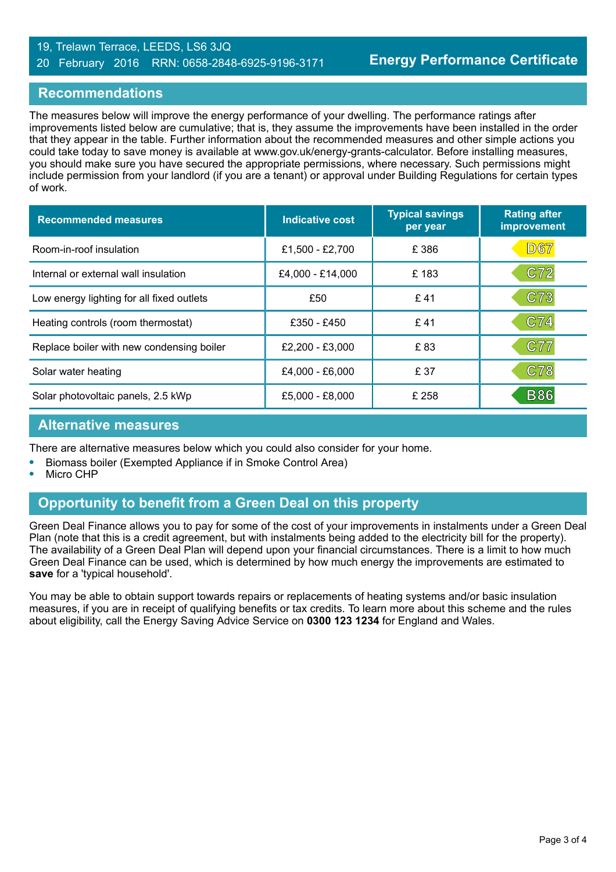#### 19, Trelawn Terrace, LEEDS, LS6 3JQ 20 February 2016 RRN: 0658-2848-6925-9196-3171

#### **Recommendations**

The measures below will improve the energy performance of your dwelling. The performance ratings after improvements listed below are cumulative; that is, they assume the improvements have been installed in the order that they appear in the table. Further information about the recommended measures and other simple actions you could take today to save money is available at www.gov.uk/energy-grants-calculator. Before installing measures, you should make sure you have secured the appropriate permissions, where necessary. Such permissions might include permission from your landlord (if you are a tenant) or approval under Building Regulations for certain types of work.

| <b>Recommended measures</b>               | Indicative cost  | <b>Typical savings</b><br>per year | <b>Rating after</b><br>improvement |
|-------------------------------------------|------------------|------------------------------------|------------------------------------|
| Room-in-roof insulation                   | £1,500 - £2,700  | £386                               | D67                                |
| Internal or external wall insulation      | £4,000 - £14,000 | £183                               | C72                                |
| Low energy lighting for all fixed outlets | £50              | £41                                | C73                                |
| Heating controls (room thermostat)        | £350 - £450      | £41                                | C74                                |
| Replace boiler with new condensing boiler | £2,200 - £3,000  | £83                                | C77                                |
| Solar water heating                       | £4,000 - £6,000  | £ 37                               | <b>C78</b>                         |
| Solar photovoltaic panels, 2.5 kWp        | £5,000 - £8,000  | £ 258                              | <b>B86</b>                         |

#### **Alternative measures**

There are alternative measures below which you could also consider for your home.

- **•** Biomass boiler (Exempted Appliance if in Smoke Control Area)
- **•** Micro CHP

# **Opportunity to benefit from a Green Deal on this property**

Green Deal Finance allows you to pay for some of the cost of your improvements in instalments under a Green Deal Plan (note that this is a credit agreement, but with instalments being added to the electricity bill for the property). The availability of a Green Deal Plan will depend upon your financial circumstances. There is a limit to how much Green Deal Finance can be used, which is determined by how much energy the improvements are estimated to **save** for a 'typical household'.

You may be able to obtain support towards repairs or replacements of heating systems and/or basic insulation measures, if you are in receipt of qualifying benefits or tax credits. To learn more about this scheme and the rules about eligibility, call the Energy Saving Advice Service on **0300 123 1234** for England and Wales.